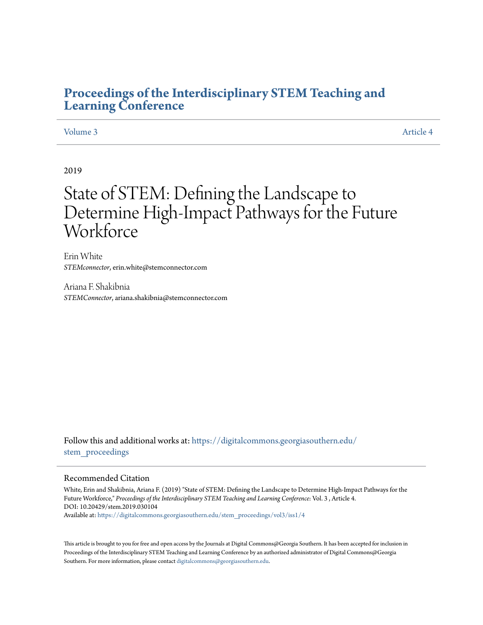# **[Proceedings of the Interdisciplinary STEM Teaching and](https://digitalcommons.georgiasouthern.edu/stem_proceedings?utm_source=digitalcommons.georgiasouthern.edu%2Fstem_proceedings%2Fvol3%2Fiss1%2F4&utm_medium=PDF&utm_campaign=PDFCoverPages) [Learning Conference](https://digitalcommons.georgiasouthern.edu/stem_proceedings?utm_source=digitalcommons.georgiasouthern.edu%2Fstem_proceedings%2Fvol3%2Fiss1%2F4&utm_medium=PDF&utm_campaign=PDFCoverPages)**

#### [Volume 3](https://digitalcommons.georgiasouthern.edu/stem_proceedings/vol3?utm_source=digitalcommons.georgiasouthern.edu%2Fstem_proceedings%2Fvol3%2Fiss1%2F4&utm_medium=PDF&utm_campaign=PDFCoverPages) [Article 4](https://digitalcommons.georgiasouthern.edu/stem_proceedings/vol3/iss1/4?utm_source=digitalcommons.georgiasouthern.edu%2Fstem_proceedings%2Fvol3%2Fiss1%2F4&utm_medium=PDF&utm_campaign=PDFCoverPages)

2019

# State of STEM: Defining the Landscape to Determine High-Impact Pathways for the Future Workforce

Erin White *STEMconnector*, erin.white@stemconnector.com

Ariana F. Shakibnia *STEMConnector*, ariana.shakibnia@stemconnector.com

Follow this and additional works at: [https://digitalcommons.georgiasouthern.edu/](https://digitalcommons.georgiasouthern.edu/stem_proceedings?utm_source=digitalcommons.georgiasouthern.edu%2Fstem_proceedings%2Fvol3%2Fiss1%2F4&utm_medium=PDF&utm_campaign=PDFCoverPages) stem proceedings

#### Recommended Citation

White, Erin and Shakibnia, Ariana F. (2019) "State of STEM: Defining the Landscape to Determine High-Impact Pathways for the Future Workforce," *Proceedings of the Interdisciplinary STEM Teaching and Learning Conference*: Vol. 3 , Article 4. DOI: 10.20429/stem.2019.030104 Available at: [https://digitalcommons.georgiasouthern.edu/stem\\_proceedings/vol3/iss1/4](https://digitalcommons.georgiasouthern.edu/stem_proceedings/vol3/iss1/4?utm_source=digitalcommons.georgiasouthern.edu%2Fstem_proceedings%2Fvol3%2Fiss1%2F4&utm_medium=PDF&utm_campaign=PDFCoverPages)

This article is brought to you for free and open access by the Journals at Digital Commons@Georgia Southern. It has been accepted for inclusion in Proceedings of the Interdisciplinary STEM Teaching and Learning Conference by an authorized administrator of Digital Commons@Georgia Southern. For more information, please contact [digitalcommons@georgiasouthern.edu.](mailto:digitalcommons@georgiasouthern.edu)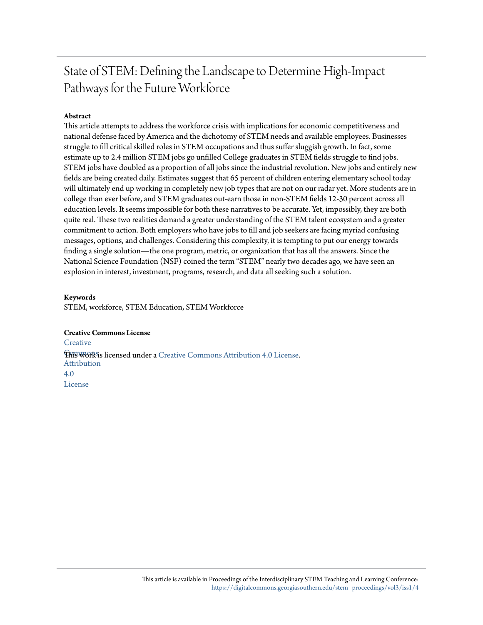# State of STEM: Defining the Landscape to Determine High-Impact Pathways for the Future Workforce

#### **Abstract**

This article attempts to address the workforce crisis with implications for economic competitiveness and national defense faced by America and the dichotomy of STEM needs and available employees. Businesses struggle to fill critical skilled roles in STEM occupations and thus suffer sluggish growth. In fact, some estimate up to 2.4 million STEM jobs go unfilled College graduates in STEM fields struggle to find jobs. STEM jobs have doubled as a proportion of all jobs since the industrial revolution. New jobs and entirely new fields are being created daily. Estimates suggest that 65 percent of children entering elementary school today will ultimately end up working in completely new job types that are not on our radar yet. More students are in college than ever before, and STEM graduates out-earn those in non-STEM fields 12-30 percent across all education levels. It seems impossible for both these narratives to be accurate. Yet, impossibly, they are both quite real. These two realities demand a greater understanding of the STEM talent ecosystem and a greater commitment to action. Both employers who have jobs to fill and job seekers are facing myriad confusing messages, options, and challenges. Considering this complexity, it is tempting to put our energy towards finding a single solution—the one program, metric, or organization that has all the answers. Since the National Science Foundation (NSF) coined the term "STEM" nearly two decades ago, we have seen an explosion in interest, investment, programs, research, and data all seeking such a solution.

#### **Keywords**

STEM, workforce, STEM Education, STEM Workforce

#### **Creative Commons License**

**[Creative](http://creativecommons.org/licenses/by/4.0/) This work is licensed under a** [Creative Commons Attribution 4.0 License.](http://creativecommons.org/licenses/by/4.0/) Attribution 4.0 License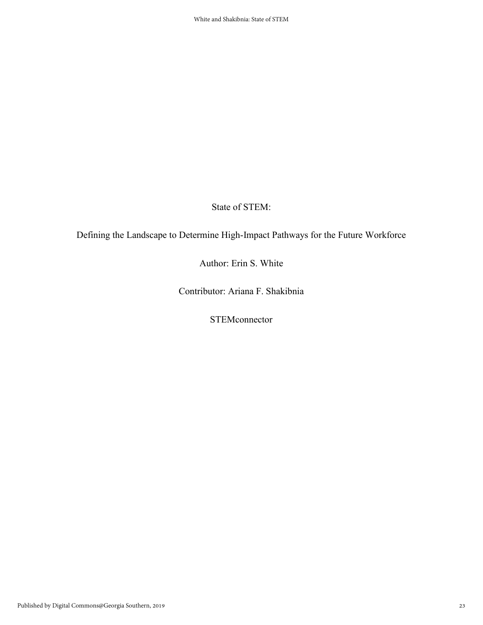State of STEM:

Defining the Landscape to Determine High-Impact Pathways for the Future Workforce

Author: Erin S. White

Contributor: Ariana F. Shakibnia

**STEMconnector**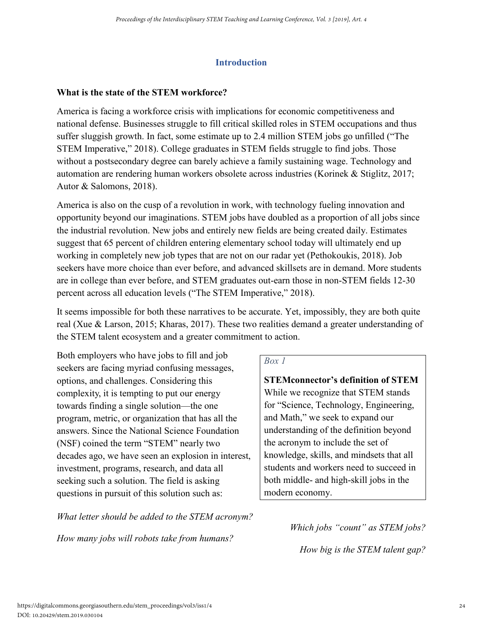#### **Introduction**

#### **What is the state of the STEM workforce?**

America is facing a workforce crisis with implications for economic competitiveness and national defense. Businesses struggle to fill critical skilled roles in STEM occupations and thus suffer sluggish growth. In fact, some estimate up to 2.4 million STEM jobs go unfilled ("The STEM Imperative," 2018). College graduates in STEM fields struggle to find jobs. Those without a postsecondary degree can barely achieve a family sustaining wage. Technology and automation are rendering human workers obsolete across industries (Korinek & Stiglitz, 2017; Autor & Salomons, 2018).

America is also on the cusp of a revolution in work, with technology fueling innovation and opportunity beyond our imaginations. STEM jobs have doubled as a proportion of all jobs since the industrial revolution. New jobs and entirely new fields are being created daily. Estimates suggest that 65 percent of children entering elementary school today will ultimately end up working in completely new job types that are not on our radar yet (Pethokoukis, 2018). Job seekers have more choice than ever before, and advanced skillsets are in demand. More students are in college than ever before, and STEM graduates out-earn those in non-STEM fields 12-30 percent across all education levels ("The STEM Imperative," 2018).

It seems impossible for both these narratives to be accurate. Yet, impossibly, they are both quite real (Xue & Larson, 2015; Kharas, 2017). These two realities demand a greater understanding of the STEM talent ecosystem and a greater commitment to action.

Both employers who have jobs to fill and job seekers are facing myriad confusing messages, options, and challenges. Considering this complexity, it is tempting to put our energy towards finding a single solution—the one program, metric, or organization that has all the answers. Since the National Science Foundation (NSF) coined the term "STEM" nearly two decades ago, we have seen an explosion in interest, investment, programs, research, and data all seeking such a solution. The field is asking questions in pursuit of this solution such as:

*What letter should be added to the STEM acronym?*

*How many jobs will robots take from humans?*

#### *Box 1*

**STEMconnector's definition of STEM** While we recognize that STEM stands for "Science, Technology, Engineering, and Math," we seek to expand our understanding of the definition beyond the acronym to include the set of knowledge, skills, and mindsets that all students and workers need to succeed in both middle- and high-skill jobs in the modern economy.

*Which jobs "count" as STEM jobs?*

*How big is the STEM talent gap?*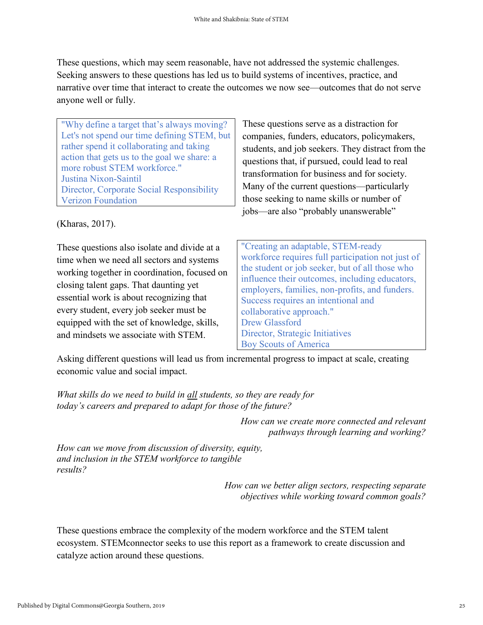These questions, which may seem reasonable, have not addressed the systemic challenges. Seeking answers to these questions has led us to build systems of incentives, practice, and narrative over time that interact to create the outcomes we now see—outcomes that do not serve anyone well or fully.

"Why define a target that's always moving? Let's not spend our time defining STEM, but rather spend it collaborating and taking action that gets us to the goal we share: a more robust STEM workforce." Justina Nixon-Saintil Director, Corporate Social Responsibility Verizon Foundation

(Kharas, 2017).

These questions also isolate and divide at a time when we need all sectors and systems working together in coordination, focused on closing talent gaps. That daunting yet essential work is about recognizing that every student, every job seeker must be equipped with the set of knowledge, skills, and mindsets we associate with STEM.

These questions serve as a distraction for companies, funders, educators, policymakers, students, and job seekers. They distract from the questions that, if pursued, could lead to real transformation for business and for society. Many of the current questions—particularly those seeking to name skills or number of jobs—are also "probably unanswerable"

"Creating an adaptable, STEM-ready workforce requires full participation not just of the student or job seeker, but of all those who influence their outcomes, including educators, employers, families, non-profits, and funders. Success requires an intentional and collaborative approach." Drew Glassford Director, Strategic Initiatives Boy Scouts of America

Asking different questions will lead us from incremental progress to impact at scale, creating economic value and social impact.

*What skills do we need to build in all students, so they are ready for today's careers and prepared to adapt for those of the future?*

> *How can we create more connected and relevant pathways through learning and working?*

*How can we move from discussion of diversity, equity, and inclusion in the STEM workforce to tangible results?*

> *How can we better align sectors, respecting separate objectives while working toward common goals?*

These questions embrace the complexity of the modern workforce and the STEM talent ecosystem. STEMconnector seeks to use this report as a framework to create discussion and catalyze action around these questions.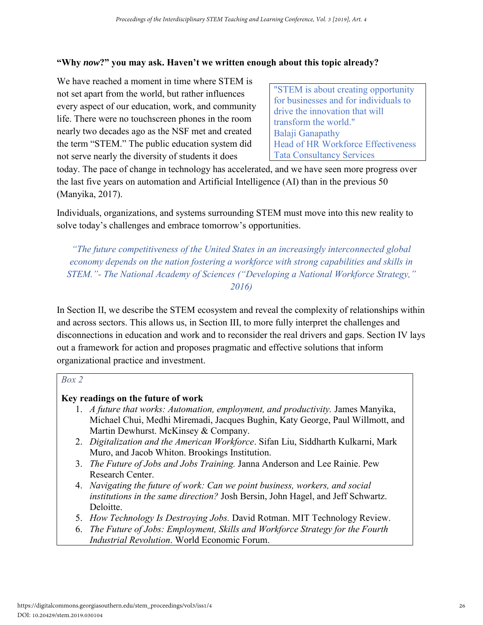#### **"Why** *now***?" you may ask. Haven't we written enough about this topic already?**

We have reached a moment in time where STEM is not set apart from the world, but rather influences every aspect of our education, work, and community life. There were no touchscreen phones in the room nearly two decades ago as the NSF met and created the term "STEM." The public education system did not serve nearly the diversity of students it does

"STEM is about creating opportunity for businesses and for individuals to drive the innovation that will transform the world." Balaji Ganapathy Head of HR Workforce Effectiveness Tata Consultancy Services

today. The pace of change in technology has accelerated, and we have seen more progress over the last five years on automation and Artificial Intelligence (AI) than in the previous 50 (Manyika, 2017).

Individuals, organizations, and systems surrounding STEM must move into this new reality to solve today's challenges and embrace tomorrow's opportunities.

*"The future competitiveness of the United States in an increasingly interconnected global economy depends on the nation fostering a workforce with strong capabilities and skills in STEM."- The National Academy of Sciences ("Developing a National Workforce Strategy," 2016)*

In Section II, we describe the STEM ecosystem and reveal the complexity of relationships within and across sectors. This allows us, in Section III, to more fully interpret the challenges and disconnections in education and work and to reconsider the real drivers and gaps. Section IV lays out a framework for action and proposes pragmatic and effective solutions that inform organizational practice and investment.

| ٧<br>× | ٠ |
|--------|---|
|--------|---|

#### **Key readings on the future of work**

- 1. *A future that works: Automation, employment, and productivity.* James Manyika, Michael Chui, Medhi Miremadi, Jacques Bughin, Katy George, Paul Willmott, and Martin Dewhurst. McKinsey & Company.
- 2. *Digitalization and the American Workforce*. Sifan Liu, Siddharth Kulkarni, Mark Muro, and Jacob Whiton. Brookings Institution.
- 3. *The Future of Jobs and Jobs Training.* Janna Anderson and Lee Rainie. Pew Research Center.
- 4. *Navigating the future of work: Can we point business, workers, and social institutions in the same direction?* Josh Bersin, John Hagel, and Jeff Schwartz. Deloitte.
- 5. *How Technology Is Destroying Jobs.* David Rotman. MIT Technology Review.
- 6. *The Future of Jobs: Employment, Skills and Workforce Strategy for the Fourth Industrial Revolution*. World Economic Forum.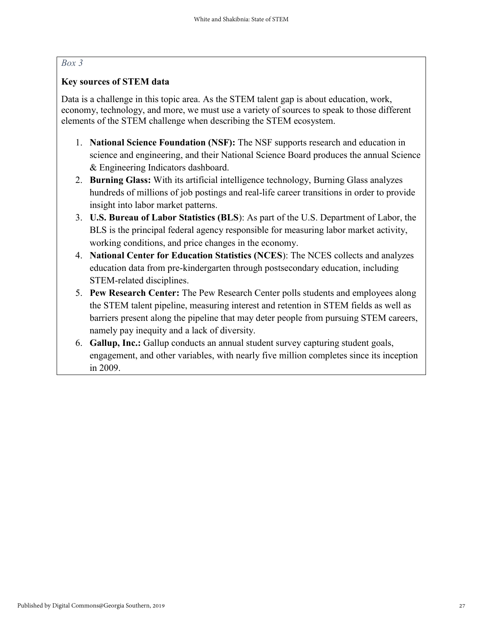#### *Box 3*

#### **Key sources of STEM data**

Data is a challenge in this topic area. As the STEM talent gap is about education, work, economy, technology, and more, we must use a variety of sources to speak to those different elements of the STEM challenge when describing the STEM ecosystem.

- 1. **National Science Foundation (NSF):** The NSF supports research and education in science and engineering, and their National Science Board produces the annual Science & Engineering Indicators dashboard.
- 2. **Burning Glass:** With its artificial intelligence technology, Burning Glass analyzes hundreds of millions of job postings and real-life career transitions in order to provide insight into labor market patterns.
- 3. **U.S. Bureau of Labor Statistics (BLS**): As part of the U.S. Department of Labor, the BLS is the principal federal agency responsible for measuring labor market activity, working conditions, and price changes in the economy.
- 4. **National Center for Education Statistics (NCES**): The NCES collects and analyzes education data from pre-kindergarten through postsecondary education, including STEM-related disciplines.
- 5. **Pew Research Center:** The Pew Research Center polls students and employees along the STEM talent pipeline, measuring interest and retention in STEM fields as well as barriers present along the pipeline that may deter people from pursuing STEM careers, namely pay inequity and a lack of diversity.
- 6. **Gallup, Inc.:** Gallup conducts an annual student survey capturing student goals, engagement, and other variables, with nearly five million completes since its inception in 2009.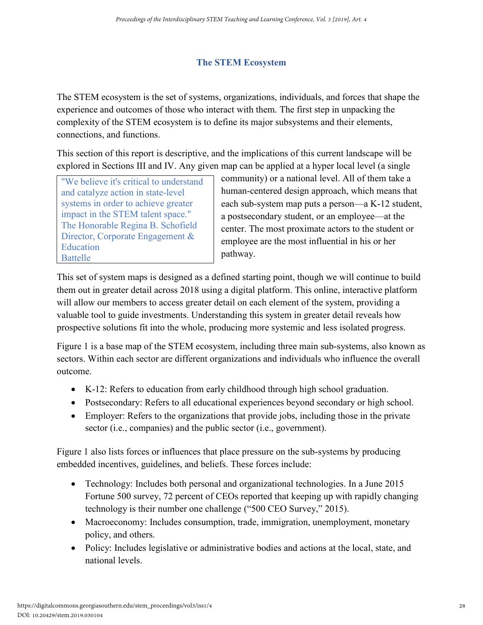# **The STEM Ecosystem**

The STEM ecosystem is the set of systems, organizations, individuals, and forces that shape the experience and outcomes of those who interact with them. The first step in unpacking the complexity of the STEM ecosystem is to define its major subsystems and their elements, connections, and functions.

This section of this report is descriptive, and the implications of this current landscape will be explored in Sections III and IV. Any given map can be applied at a hyper local level (a single

"We believe it's critical to understand and catalyze action in state-level systems in order to achieve greater impact in the STEM talent space." The Honorable Regina B. Schofield Director, Corporate Engagement & Education Battelle

community) or a national level. All of them take a human-centered design approach, which means that each sub-system map puts a person—a K-12 student, a postsecondary student, or an employee—at the center. The most proximate actors to the student or employee are the most influential in his or her pathway.

This set of system maps is designed as a defined starting point, though we will continue to build them out in greater detail across 2018 using a digital platform. This online, interactive platform will allow our members to access greater detail on each element of the system, providing a valuable tool to guide investments. Understanding this system in greater detail reveals how prospective solutions fit into the whole, producing more systemic and less isolated progress.

Figure 1 is a base map of the STEM ecosystem, including three main sub-systems, also known as sectors. Within each sector are different organizations and individuals who influence the overall outcome.

- K-12: Refers to education from early childhood through high school graduation.
- Postsecondary: Refers to all educational experiences beyond secondary or high school.
- Employer: Refers to the organizations that provide jobs, including those in the private sector (i.e., companies) and the public sector (i.e., government).

Figure 1 also lists forces or influences that place pressure on the sub-systems by producing embedded incentives, guidelines, and beliefs. These forces include:

- Technology: Includes both personal and organizational technologies. In a June 2015 Fortune 500 survey, 72 percent of CEOs reported that keeping up with rapidly changing technology is their number one challenge ("500 CEO Survey," 2015).
- Macroeconomy: Includes consumption, trade, immigration, unemployment, monetary policy, and others.
- Policy: Includes legislative or administrative bodies and actions at the local, state, and national levels.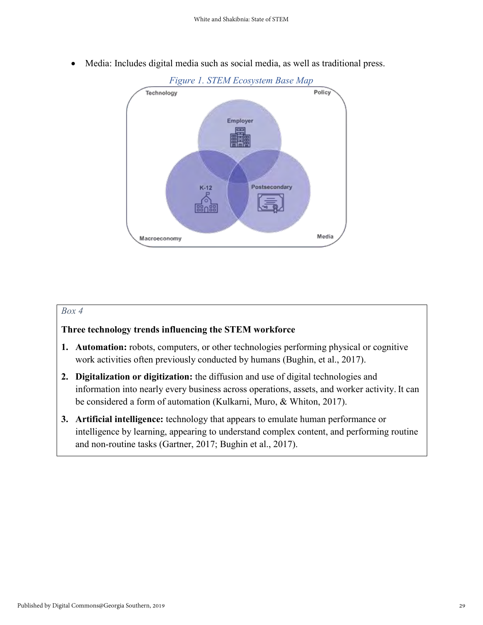- *Figure 1. STEM Ecosystem Base Map* Policy Technology Employer  $K-12$ Postsecondary Media Macroeconomy
- Media: Includes digital media such as social media, as well as traditional press.

#### *Box 4*

#### **Three technology trends influencing the STEM workforce**

- **1. Automation:** robots, computers, or other technologies performing physical or cognitive work activities often previously conducted by humans (Bughin, et al., 2017).
- **2. Digitalization or digitization:** the diffusion and use of digital technologies and information into nearly every business across operations, assets, and worker activity. It can be considered a form of automation (Kulkarni, Muro, & Whiton, 2017).
- **3. Artificial intelligence:** technology that appears to emulate human performance or intelligence by learning, appearing to understand complex content, and performing routine and non-routine tasks (Gartner, 2017; Bughin et al., 2017).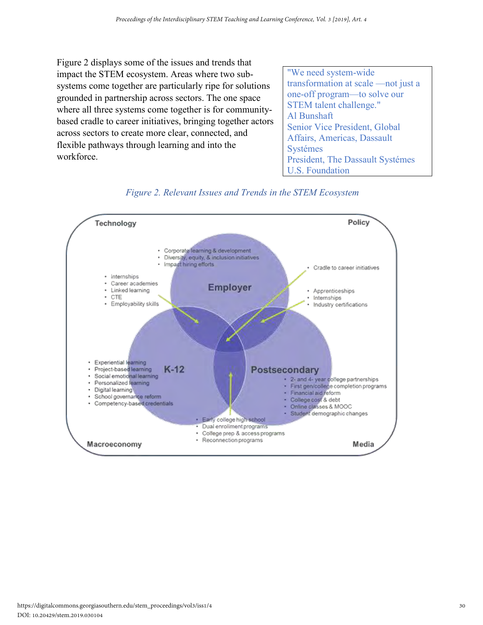Figure 2 displays some of the issues and trends that impact the STEM ecosystem. Areas where two subsystems come together are particularly ripe for solutions grounded in partnership across sectors. The one space where all three systems come together is for communitybased cradle to career initiatives, bringing together actors across sectors to create more clear, connected, and flexible pathways through learning and into the workforce.

"We need system-wide transformation at scale —not just a one-off program—to solve our STEM talent challenge." Al Bunshaft Senior Vice President, Global Affairs, Americas, Dassault Systémes President, The Dassault Systémes U.S. Foundation



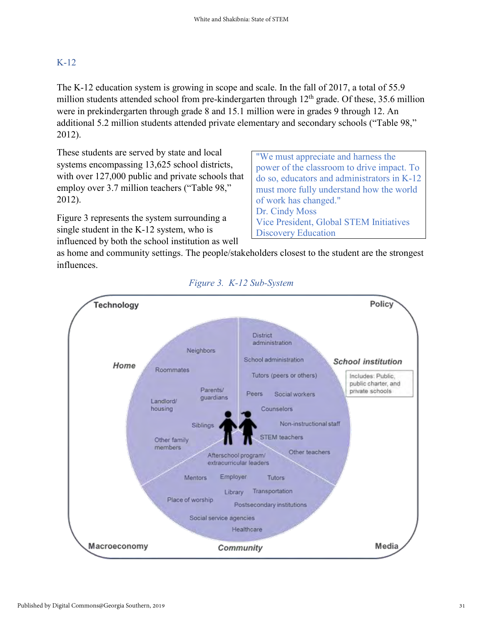# K-12

The K-12 education system is growing in scope and scale. In the fall of 2017, a total of 55.9 million students attended school from pre-kindergarten through  $12<sup>th</sup>$  grade. Of these, 35.6 million were in prekindergarten through grade 8 and 15.1 million were in grades 9 through 12. An additional 5.2 million students attended private elementary and secondary schools ("Table 98," 2012).

These students are served by state and local systems encompassing 13,625 school districts, with over 127,000 public and private schools that employ over 3.7 million teachers ("Table 98," 2012).

Figure 3 represents the system surrounding a single student in the K-12 system, who is influenced by both the school institution as well

"We must appreciate and harness the power of the classroom to drive impact. To do so, educators and administrators in K-12 must more fully understand how the world of work has changed." Dr. Cindy Moss Vice President, Global STEM Initiatives Discovery Education

as home and community settings. The people/stakeholders closest to the student are the strongest influences.



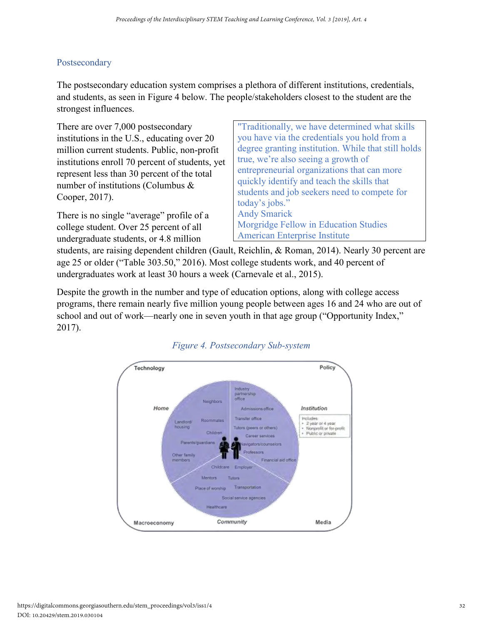## Postsecondary

The postsecondary education system comprises a plethora of different institutions, credentials, and students, as seen in Figure 4 below. The people/stakeholders closest to the student are the strongest influences.

There are over 7,000 postsecondary institutions in the U.S., educating over 20 million current students. Public, non-profit institutions enroll 70 percent of students, yet represent less than 30 percent of the total number of institutions (Columbus & Cooper, 2017).

There is no single "average" profile of a college student. Over 25 percent of all undergraduate students, or 4.8 million

"Traditionally, we have determined what skills you have via the credentials you hold from a degree granting institution. While that still holds true, we're also seeing a growth of entrepreneurial organizations that can more quickly identify and teach the skills that students and job seekers need to compete for today's jobs." Andy Smarick Morgridge Fellow in Education Studies American Enterprise Institute

students, are raising dependent children (Gault, Reichlin, & Roman, 2014). Nearly 30 percent are age 25 or older ("Table 303.50," 2016). Most college students work, and 40 percent of undergraduates work at least 30 hours a week (Carnevale et al., 2015).

Despite the growth in the number and type of education options, along with college access programs, there remain nearly five million young people between ages 16 and 24 who are out of school and out of work—nearly one in seven youth in that age group ("Opportunity Index," 2017).



### *Figure 4. Postsecondary Sub-system*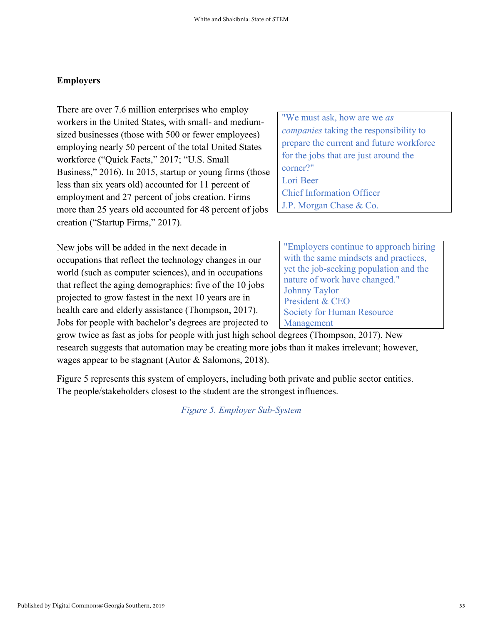#### **Employers**

There are over 7.6 million enterprises who employ workers in the United States, with small- and mediumsized businesses (those with 500 or fewer employees) employing nearly 50 percent of the total United States workforce ("Quick Facts," 2017; "U.S. Small Business," 2016). In 2015, startup or young firms (those less than six years old) accounted for 11 percent of employment and 27 percent of jobs creation. Firms more than 25 years old accounted for 48 percent of jobs creation ("Startup Firms," 2017).

New jobs will be added in the next decade in occupations that reflect the technology changes in our world (such as computer sciences), and in occupations that reflect the aging demographics: five of the 10 jobs projected to grow fastest in the next 10 years are in health care and elderly assistance (Thompson, 2017). Jobs for people with bachelor's degrees are projected to "We must ask, how are we *as companies* taking the responsibility to prepare the current and future workforce for the jobs that are just around the corner?" Lori Beer Chief Information Officer J.P. Morgan Chase & Co.

"Employers continue to approach hiring with the same mindsets and practices, yet the job-seeking population and the nature of work have changed." Johnny Taylor President & CEO Society for Human Resource Management

grow twice as fast as jobs for people with just high school degrees (Thompson, 2017). New research suggests that automation may be creating more jobs than it makes irrelevant; however, wages appear to be stagnant (Autor & Salomons, 2018).

Figure 5 represents this system of employers, including both private and public sector entities. The people/stakeholders closest to the student are the strongest influences.

*Figure 5. Employer Sub-System*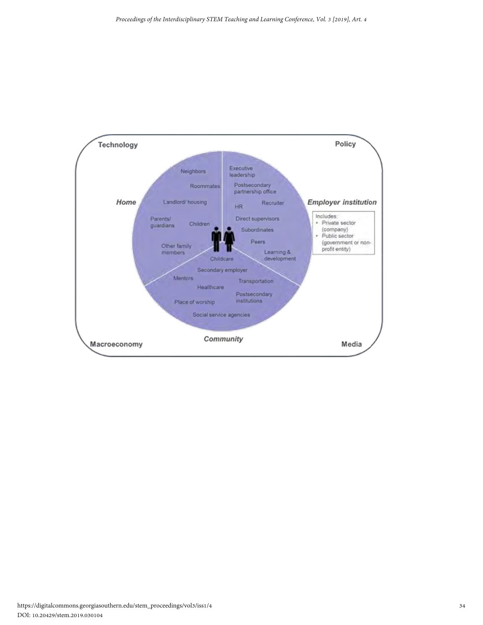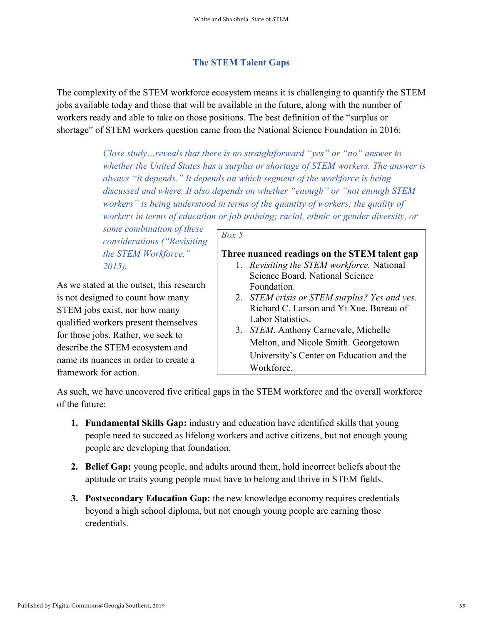#### **The STEM Talent Gaps**

The complexity of the STEM workforce ecosystem means it is challenging to quantify the STEM jobs available today and those that will be available in the future, along with the number of workers ready and able to take on those positions. The best definition of the "surplus or shortage" of STEM workers question came from the National Science Foundation in 2016:

> *Close study…reveals that there is no straightforward "yes" or "no" answer to whether the United States has a surplus or shortage of STEM workers. The answer is always "it depends." It depends on which segment of the workforce is being discussed and where. It also depends on whether "enough" or "not enough STEM workers" is being understood in terms of the quantity of workers; the quality of workers in terms of education or job training; racial, ethnic or gender diversity, or*

*some combination of these considerations ("Revisiting the STEM Workforce," 2015).*

As we stated at the outset, this research is not designed to count how many STEM jobs exist, nor how many qualified workers present themselves for those jobs. Rather, we seek to describe the STEM ecosystem and name its nuances in order to create a framework for action.

#### *Box 5*

#### **Three nuanced readings on the STEM talent gap**

- 1. *Revisiting the STEM workforce.* National Science Board. National Science Foundation.
- 2. *STEM crisis or STEM surplus? Yes and yes*. Richard C. Larson and Yi Xue. Bureau of Labor Statistics.
- 3. *STEM*. Anthony Carnevale, Michelle Melton, and Nicole Smith. Georgetown University's Center on Education and the Workforce.

As such, we have uncovered five critical gaps in the STEM workforce and the overall workforce of the future:

- **1. Fundamental Skills Gap:** industry and education have identified skills that young people need to succeed as lifelong workers and active citizens, but not enough young people are developing that foundation.
- **2. Belief Gap:** young people, and adults around them, hold incorrect beliefs about the aptitude or traits young people must have to belong and thrive in STEM fields.
- **3. Postsecondary Education Gap:** the new knowledge economy requires credentials beyond a high school diploma, but not enough young people are earning those credentials.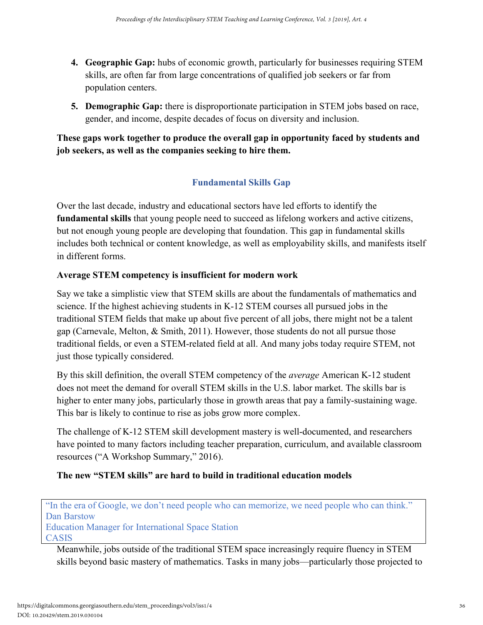- **4. Geographic Gap:** hubs of economic growth, particularly for businesses requiring STEM skills, are often far from large concentrations of qualified job seekers or far from population centers.
- **5. Demographic Gap:** there is disproportionate participation in STEM jobs based on race, gender, and income, despite decades of focus on diversity and inclusion.

# **These gaps work together to produce the overall gap in opportunity faced by students and job seekers, as well as the companies seeking to hire them.**

# **Fundamental Skills Gap**

Over the last decade, industry and educational sectors have led efforts to identify the **fundamental skills** that young people need to succeed as lifelong workers and active citizens, but not enough young people are developing that foundation. This gap in fundamental skills includes both technical or content knowledge, as well as employability skills, and manifests itself in different forms.

# **Average STEM competency is insufficient for modern work**

Say we take a simplistic view that STEM skills are about the fundamentals of mathematics and science. If the highest achieving students in K-12 STEM courses all pursued jobs in the traditional STEM fields that make up about five percent of all jobs, there might not be a talent gap (Carnevale, Melton, & Smith, 2011). However, those students do not all pursue those traditional fields, or even a STEM-related field at all. And many jobs today require STEM, not just those typically considered.

By this skill definition, the overall STEM competency of the *average* American K-12 student does not meet the demand for overall STEM skills in the U.S. labor market. The skills bar is higher to enter many jobs, particularly those in growth areas that pay a family-sustaining wage. This bar is likely to continue to rise as jobs grow more complex.

The challenge of K-12 STEM skill development mastery is well-documented, and researchers have pointed to many factors including teacher preparation, curriculum, and available classroom resources ("A Workshop Summary," 2016).

# **The new "STEM skills" are hard to build in traditional education models**

"In the era of Google, we don't need people who can memorize, we need people who can think." Dan Barstow

Education Manager for International Space Station CASIS

Meanwhile, jobs outside of the traditional STEM space increasingly require fluency in STEM skills beyond basic mastery of mathematics. Tasks in many jobs—particularly those projected to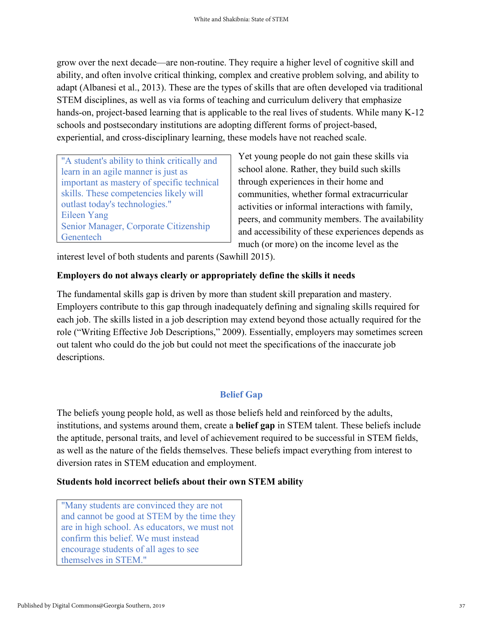grow over the next decade—are non-routine. They require a higher level of cognitive skill and ability, and often involve critical thinking, complex and creative problem solving, and ability to adapt (Albanesi et al., 2013). These are the types of skills that are often developed via traditional STEM disciplines, as well as via forms of teaching and curriculum delivery that emphasize hands-on, project-based learning that is applicable to the real lives of students. While many K-12 schools and postsecondary institutions are adopting different forms of project-based, experiential, and cross-disciplinary learning, these models have not reached scale.

"A student's ability to think critically and learn in an agile manner is just as important as mastery of specific technical skills. These competencies likely will outlast today's technologies." Eileen Yang Senior Manager, Corporate Citizenship **Genentech** 

Yet young people do not gain these skills via school alone. Rather, they build such skills through experiences in their home and communities, whether formal extracurricular activities or informal interactions with family, peers, and community members. The availability and accessibility of these experiences depends as much (or more) on the income level as the

interest level of both students and parents (Sawhill 2015).

#### **Employers do not always clearly or appropriately define the skills it needs**

The fundamental skills gap is driven by more than student skill preparation and mastery. Employers contribute to this gap through inadequately defining and signaling skills required for each job. The skills listed in a job description may extend beyond those actually required for the role ("Writing Effective Job Descriptions," 2009). Essentially, employers may sometimes screen out talent who could do the job but could not meet the specifications of the inaccurate job descriptions.

### **Belief Gap**

The beliefs young people hold, as well as those beliefs held and reinforced by the adults, institutions, and systems around them, create a **belief gap** in STEM talent. These beliefs include the aptitude, personal traits, and level of achievement required to be successful in STEM fields, as well as the nature of the fields themselves. These beliefs impact everything from interest to diversion rates in STEM education and employment.

#### **Students hold incorrect beliefs about their own STEM ability**

"Many students are convinced they are not and cannot be good at STEM by the time they are in high school. As educators, we must not confirm this belief. We must instead encourage students of all ages to see themselves in STEM."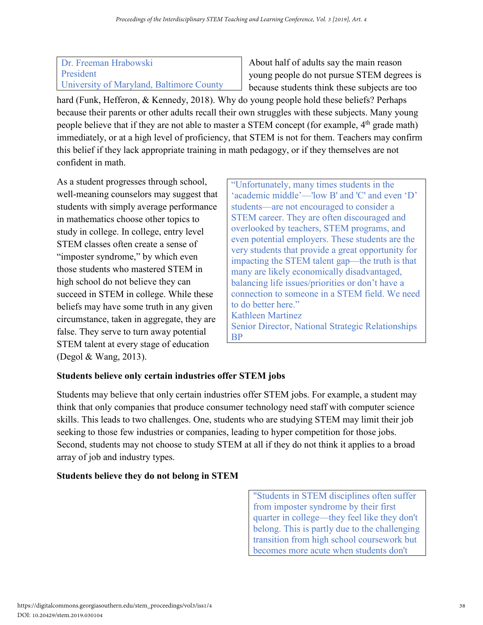#### Dr. Freeman Hrabowski President University of Maryland, Baltimore County

About half of adults say the main reason young people do not pursue STEM degrees is because students think these subjects are too

hard (Funk, Hefferon, & Kennedy, 2018). Why do young people hold these beliefs? Perhaps because their parents or other adults recall their own struggles with these subjects. Many young people believe that if they are not able to master a STEM concept (for example, 4<sup>th</sup> grade math) immediately, or at a high level of proficiency, that STEM is not for them. Teachers may confirm this belief if they lack appropriate training in math pedagogy, or if they themselves are not confident in math.

As a student progresses through school, well-meaning counselors may suggest that students with simply average performance in mathematics choose other topics to study in college. In college, entry level STEM classes often create a sense of "imposter syndrome," by which even those students who mastered STEM in high school do not believe they can succeed in STEM in college. While these beliefs may have some truth in any given circumstance, taken in aggregate, they are false. They serve to turn away potential STEM talent at every stage of education (Degol & Wang, 2013).

"Unfortunately, many times students in the 'academic middle'—'low B' and 'C' and even 'D' students—are not encouraged to consider a STEM career. They are often discouraged and overlooked by teachers, STEM programs, and even potential employers. These students are the very students that provide a great opportunity for impacting the STEM talent gap—the truth is that many are likely economically disadvantaged, balancing life issues/priorities or don't have a connection to someone in a STEM field. We need to do better here." Kathleen Martinez Senior Director, National Strategic Relationships BP

# **Students believe only certain industries offer STEM jobs**

Students may believe that only certain industries offer STEM jobs. For example, a student may think that only companies that produce consumer technology need staff with computer science skills. This leads to two challenges. One, students who are studying STEM may limit their job seeking to those few industries or companies, leading to hyper competition for those jobs. Second, students may not choose to study STEM at all if they do not think it applies to a broad array of job and industry types.

# **Students believe they do not belong in STEM**

"Students in STEM disciplines often suffer from imposter syndrome by their first quarter in college—they feel like they don't belong. This is partly due to the challenging transition from high school coursework but becomes more acute when students don't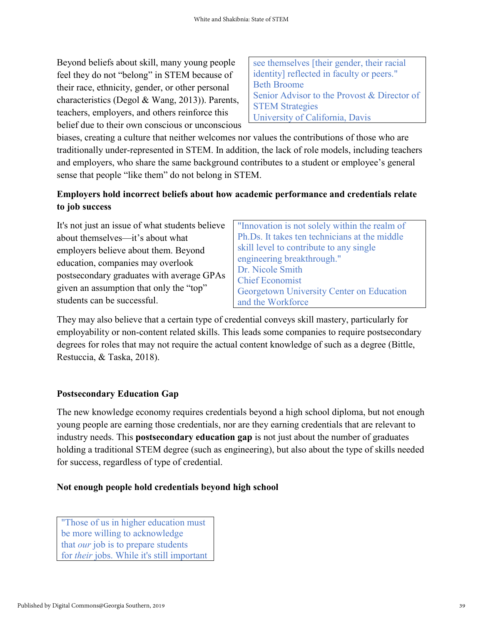Beyond beliefs about skill, many young people feel they do not "belong" in STEM because of their race, ethnicity, gender, or other personal characteristics (Degol & Wang, 2013)). Parents, teachers, employers, and others reinforce this belief due to their own conscious or unconscious see themselves [their gender, their racial identity] reflected in faculty or peers." Beth Broome Senior Advisor to the Provost & Director of STEM Strategies University of California, Davis

biases, creating a culture that neither welcomes nor values the contributions of those who are traditionally under-represented in STEM. In addition, the lack of role models, including teachers and employers, who share the same background contributes to a student or employee's general sense that people "like them" do not belong in STEM.

## **Employers hold incorrect beliefs about how academic performance and credentials relate to job success**

It's not just an issue of what students believe about themselves—it's about what employers believe about them. Beyond education, companies may overlook postsecondary graduates with average GPAs given an assumption that only the "top" students can be successful.

"Innovation is not solely within the realm of Ph.Ds. It takes ten technicians at the middle skill level to contribute to any single engineering breakthrough." Dr. Nicole Smith Chief Economist Georgetown University Center on Education and the Workforce

They may also believe that a certain type of credential conveys skill mastery, particularly for employability or non-content related skills. This leads some companies to require postsecondary degrees for roles that may not require the actual content knowledge of such as a degree (Bittle, Restuccia, & Taska, 2018).

### **Postsecondary Education Gap**

The new knowledge economy requires credentials beyond a high school diploma, but not enough young people are earning those credentials, nor are they earning credentials that are relevant to industry needs. This **postsecondary education gap** is not just about the number of graduates holding a traditional STEM degree (such as engineering), but also about the type of skills needed for success, regardless of type of credential.

#### **Not enough people hold credentials beyond high school**

"Those of us in higher education must be more willing to acknowledge that *our* job is to prepare students for *their* jobs. While it's still important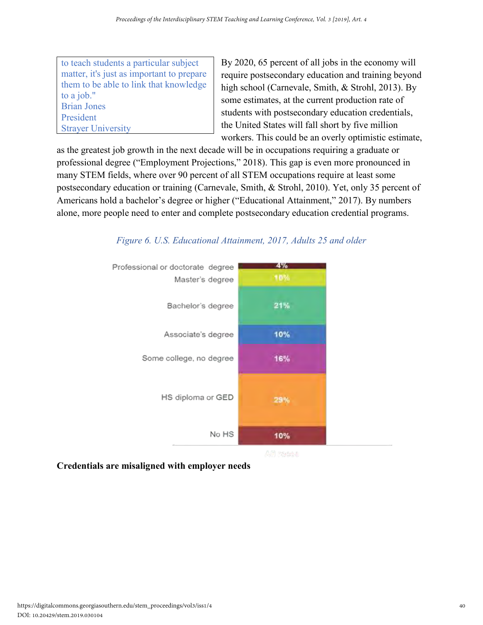to teach students a particular subject matter, it's just as important to prepare them to be able to link that knowledge to a job." Brian Jones President Strayer University

By 2020, 65 percent of all jobs in the economy will require postsecondary education and training beyond high school (Carnevale, Smith, & Strohl, 2013). By some estimates, at the current production rate of students with postsecondary education credentials, the United States will fall short by five million workers. This could be an overly optimistic estimate,

as the greatest job growth in the next decade will be in occupations requiring a graduate or professional degree ("Employment Projections," 2018). This gap is even more pronounced in many STEM fields, where over 90 percent of all STEM occupations require at least some postsecondary education or training (Carnevale, Smith, & Strohl, 2010). Yet, only 35 percent of Americans hold a bachelor's degree or higher ("Educational Attainment," 2017). By numbers alone, more people need to enter and complete postsecondary education credential programs.



# *Figure 6. U.S. Educational Attainment, 2017, Adults 25 and older*

**Credentials are misaligned with employer needs**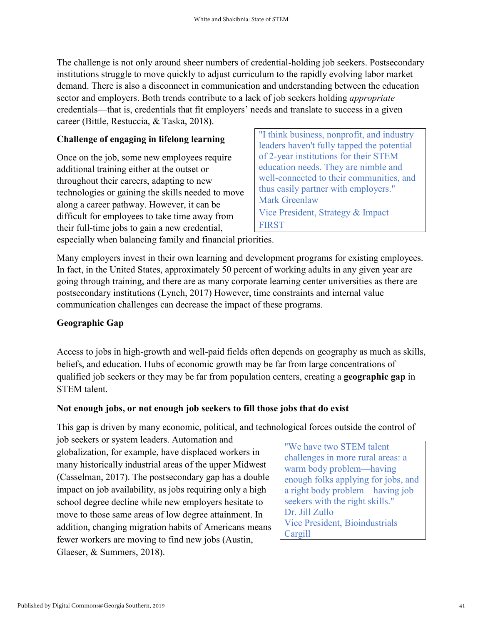The challenge is not only around sheer numbers of credential-holding job seekers. Postsecondary institutions struggle to move quickly to adjust curriculum to the rapidly evolving labor market demand. There is also a disconnect in communication and understanding between the education sector and employers. Both trends contribute to a lack of job seekers holding *appropriate*  credentials—that is, credentials that fit employers' needs and translate to success in a given career (Bittle, Restuccia, & Taska, 2018).

#### **Challenge of engaging in lifelong learning**

Once on the job, some new employees require additional training either at the outset or throughout their careers, adapting to new technologies or gaining the skills needed to move along a career pathway. However, it can be difficult for employees to take time away from their full-time jobs to gain a new credential,

"I think business, nonprofit, and industry leaders haven't fully tapped the potential of 2-year institutions for their STEM education needs. They are nimble and well-connected to their communities, and thus easily partner with employers." Mark Greenlaw Vice President, Strategy & Impact FIRST

especially when balancing family and financial priorities.

Many employers invest in their own learning and development programs for existing employees. In fact, in the United States, approximately 50 percent of working adults in any given year are going through training, and there are as many corporate learning center universities as there are postsecondary institutions (Lynch, 2017) However, time constraints and internal value communication challenges can decrease the impact of these programs.

#### **Geographic Gap**

Access to jobs in high-growth and well-paid fields often depends on geography as much as skills, beliefs, and education. Hubs of economic growth may be far from large concentrations of qualified job seekers or they may be far from population centers, creating a **geographic gap** in STEM talent.

#### **Not enough jobs, or not enough job seekers to fill those jobs that do exist**

This gap is driven by many economic, political, and technological forces outside the control of

job seekers or system leaders. Automation and globalization, for example, have displaced workers in many historically industrial areas of the upper Midwest (Casselman, 2017). The postsecondary gap has a double impact on job availability, as jobs requiring only a high school degree decline while new employers hesitate to move to those same areas of low degree attainment. In addition, changing migration habits of Americans means fewer workers are moving to find new jobs (Austin, Glaeser, & Summers, 2018).

"We have two STEM talent challenges in more rural areas: a warm body problem—having enough folks applying for jobs, and a right body problem—having job seekers with the right skills." Dr. Jill Zullo Vice President, Bioindustrials Cargill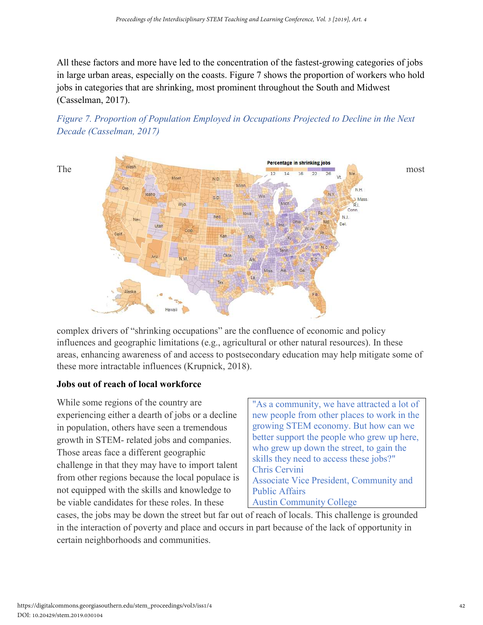All these factors and more have led to the concentration of the fastest-growing categories of jobs in large urban areas, especially on the coasts. Figure 7 shows the proportion of workers who hold jobs in categories that are shrinking, most prominent throughout the South and Midwest (Casselman, 2017).





complex drivers of "shrinking occupations" are the confluence of economic and policy influences and geographic limitations (e.g., agricultural or other natural resources). In these areas, enhancing awareness of and access to postsecondary education may help mitigate some of these more intractable influences (Krupnick, 2018).

#### **Jobs out of reach of local workforce**

While some regions of the country are experiencing either a dearth of jobs or a decline in population, others have seen a tremendous growth in STEM- related jobs and companies. Those areas face a different geographic challenge in that they may have to import talent from other regions because the local populace is not equipped with the skills and knowledge to be viable candidates for these roles. In these

"As a community, we have attracted a lot of new people from other places to work in the growing STEM economy. But how can we better support the people who grew up here, who grew up down the street, to gain the skills they need to access these jobs?" Chris Cervini Associate Vice President, Community and Public Affairs Austin Community College

cases, the jobs may be down the street but far out of reach of locals. This challenge is grounded in the interaction of poverty and place and occurs in part because of the lack of opportunity in certain neighborhoods and communities.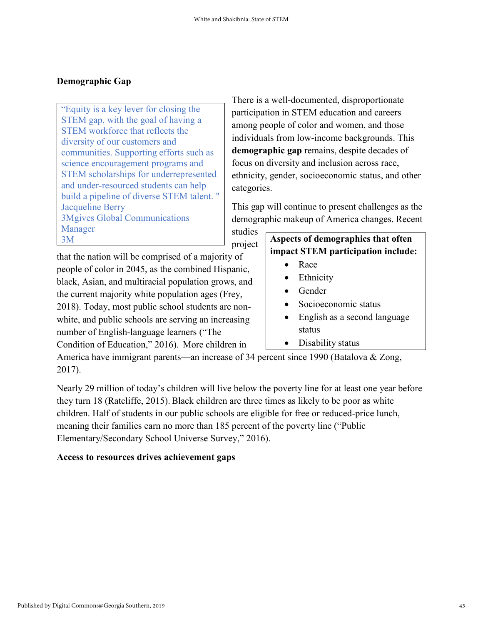#### **Demographic Gap**

"Equity is a key lever for closing the STEM gap, with the goal of having a STEM workforce that reflects the diversity of our customers and communities. Supporting efforts such as science encouragement programs and STEM scholarships for underrepresented and under-resourced students can help build a pipeline of diverse STEM talent. " Jacqueline Berry 3Mgives Global Communications Manager 3M **Aspects of demographics that often** 

There is a well-documented, disproportionate participation in STEM education and careers among people of color and women, and those individuals from low-income backgrounds. This **demographic gap** remains, despite decades of focus on diversity and inclusion across race, ethnicity, gender, socioeconomic status, and other categories.

This gap will continue to present challenges as the demographic makeup of America changes. Recent

studies project

that the nation will be comprised of a majority of people of color in 2045, as the combined Hispanic, black, Asian, and multiracial population grows, and the current majority white population ages (Frey, 2018). Today, most public school students are nonwhite, and public schools are serving an increasing number of English-language learners ("The Condition of Education," 2016). More children in

# **impact STEM participation include:**

- Race
- **Ethnicity**
- Gender
- Socioeconomic status
- English as a second language status
- Disability status

America have immigrant parents—an increase of 34 percent since 1990 (Batalova & Zong, 2017).

Nearly 29 million of today's children will live below the poverty line for at least one year before they turn 18 (Ratcliffe, 2015). Black children are three times as likely to be poor as white children. Half of students in our public schools are eligible for free or reduced-price lunch, meaning their families earn no more than 185 percent of the poverty line ("Public Elementary/Secondary School Universe Survey," 2016).

### **Access to resources drives achievement gaps**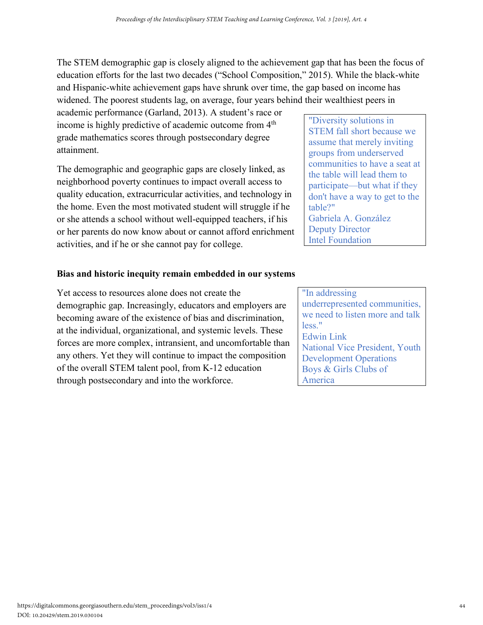The STEM demographic gap is closely aligned to the achievement gap that has been the focus of education efforts for the last two decades ("School Composition," 2015). While the black-white and Hispanic-white achievement gaps have shrunk over time, the gap based on income has widened. The poorest students lag, on average, four years behind their wealthiest peers in

academic performance (Garland, 2013). A student's race or income is highly predictive of academic outcome from 4<sup>th</sup> grade mathematics scores through postsecondary degree attainment.

The demographic and geographic gaps are closely linked, as neighborhood poverty continues to impact overall access to quality education, extracurricular activities, and technology in the home. Even the most motivated student will struggle if he or she attends a school without well-equipped teachers, if his or her parents do now know about or cannot afford enrichment activities, and if he or she cannot pay for college.

#### **Bias and historic inequity remain embedded in our systems**

Yet access to resources alone does not create the demographic gap. Increasingly, educators and employers are becoming aware of the existence of bias and discrimination, at the individual, organizational, and systemic levels. These forces are more complex, intransient, and uncomfortable than any others. Yet they will continue to impact the composition of the overall STEM talent pool, from K-12 education through postsecondary and into the workforce.

"Diversity solutions in STEM fall short because we assume that merely inviting groups from underserved communities to have a seat at the table will lead them to participate—but what if they don't have a way to get to the table?" Gabriela A. González Deputy Director Intel Foundation

"In addressing underrepresented communities, we need to listen more and talk less." Edwin Link National Vice President, Youth Development Operations Boys & Girls Clubs of America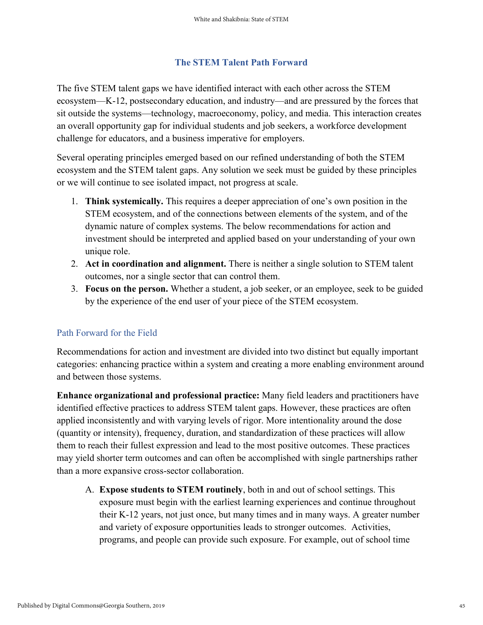#### **The STEM Talent Path Forward**

The five STEM talent gaps we have identified interact with each other across the STEM ecosystem—K-12, postsecondary education, and industry—and are pressured by the forces that sit outside the systems—technology, macroeconomy, policy, and media. This interaction creates an overall opportunity gap for individual students and job seekers, a workforce development challenge for educators, and a business imperative for employers.

Several operating principles emerged based on our refined understanding of both the STEM ecosystem and the STEM talent gaps. Any solution we seek must be guided by these principles or we will continue to see isolated impact, not progress at scale.

- 1. **Think systemically.** This requires a deeper appreciation of one's own position in the STEM ecosystem, and of the connections between elements of the system, and of the dynamic nature of complex systems. The below recommendations for action and investment should be interpreted and applied based on your understanding of your own unique role.
- 2. **Act in coordination and alignment.** There is neither a single solution to STEM talent outcomes, nor a single sector that can control them.
- 3. **Focus on the person.** Whether a student, a job seeker, or an employee, seek to be guided by the experience of the end user of your piece of the STEM ecosystem.

#### Path Forward for the Field

Recommendations for action and investment are divided into two distinct but equally important categories: enhancing practice within a system and creating a more enabling environment around and between those systems.

**Enhance organizational and professional practice:** Many field leaders and practitioners have identified effective practices to address STEM talent gaps. However, these practices are often applied inconsistently and with varying levels of rigor. More intentionality around the dose (quantity or intensity), frequency, duration, and standardization of these practices will allow them to reach their fullest expression and lead to the most positive outcomes. These practices may yield shorter term outcomes and can often be accomplished with single partnerships rather than a more expansive cross-sector collaboration.

A. **Expose students to STEM routinely**, both in and out of school settings. This exposure must begin with the earliest learning experiences and continue throughout their K-12 years, not just once, but many times and in many ways. A greater number and variety of exposure opportunities leads to stronger outcomes. Activities, programs, and people can provide such exposure. For example, out of school time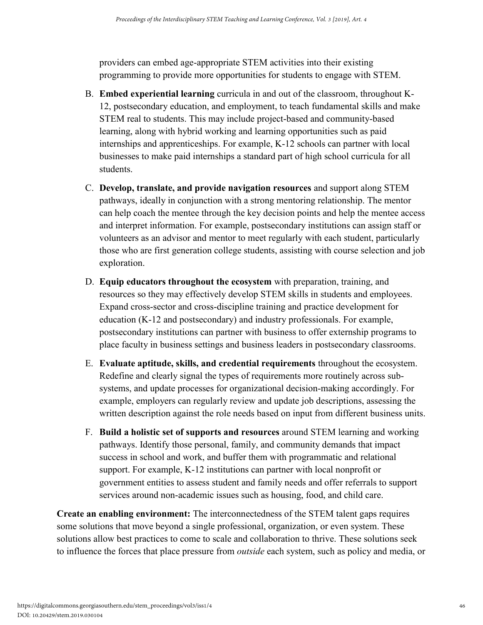providers can embed age-appropriate STEM activities into their existing programming to provide more opportunities for students to engage with STEM.

- B. **Embed experiential learning** curricula in and out of the classroom, throughout K-12, postsecondary education, and employment, to teach fundamental skills and make STEM real to students. This may include project-based and community-based learning, along with hybrid working and learning opportunities such as paid internships and apprenticeships. For example, K-12 schools can partner with local businesses to make paid internships a standard part of high school curricula for all students.
- C. **Develop, translate, and provide navigation resources** and support along STEM pathways, ideally in conjunction with a strong mentoring relationship. The mentor can help coach the mentee through the key decision points and help the mentee access and interpret information. For example, postsecondary institutions can assign staff or volunteers as an advisor and mentor to meet regularly with each student, particularly those who are first generation college students, assisting with course selection and job exploration.
- D. **Equip educators throughout the ecosystem** with preparation, training, and resources so they may effectively develop STEM skills in students and employees. Expand cross-sector and cross-discipline training and practice development for education (K-12 and postsecondary) and industry professionals. For example, postsecondary institutions can partner with business to offer externship programs to place faculty in business settings and business leaders in postsecondary classrooms.
- E. **Evaluate aptitude, skills, and credential requirements** throughout the ecosystem. Redefine and clearly signal the types of requirements more routinely across subsystems, and update processes for organizational decision-making accordingly. For example, employers can regularly review and update job descriptions, assessing the written description against the role needs based on input from different business units.
- F. **Build a holistic set of supports and resources** around STEM learning and working pathways. Identify those personal, family, and community demands that impact success in school and work, and buffer them with programmatic and relational support. For example, K-12 institutions can partner with local nonprofit or government entities to assess student and family needs and offer referrals to support services around non-academic issues such as housing, food, and child care.

**Create an enabling environment:** The interconnectedness of the STEM talent gaps requires some solutions that move beyond a single professional, organization, or even system. These solutions allow best practices to come to scale and collaboration to thrive. These solutions seek to influence the forces that place pressure from *outside* each system, such as policy and media, or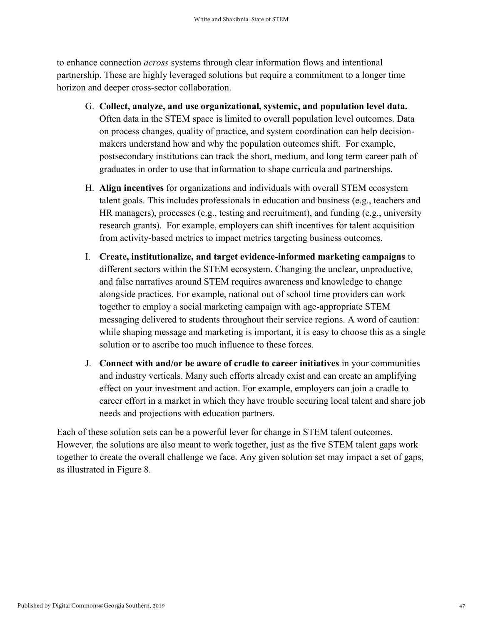to enhance connection *across* systems through clear information flows and intentional partnership. These are highly leveraged solutions but require a commitment to a longer time horizon and deeper cross-sector collaboration.

- G. **Collect, analyze, and use organizational, systemic, and population level data.** Often data in the STEM space is limited to overall population level outcomes. Data on process changes, quality of practice, and system coordination can help decisionmakers understand how and why the population outcomes shift. For example, postsecondary institutions can track the short, medium, and long term career path of graduates in order to use that information to shape curricula and partnerships.
- H. **Align incentives** for organizations and individuals with overall STEM ecosystem talent goals. This includes professionals in education and business (e.g., teachers and HR managers), processes (e.g., testing and recruitment), and funding (e.g., university research grants). For example, employers can shift incentives for talent acquisition from activity-based metrics to impact metrics targeting business outcomes.
- I. **Create, institutionalize, and target evidence-informed marketing campaigns** to different sectors within the STEM ecosystem. Changing the unclear, unproductive, and false narratives around STEM requires awareness and knowledge to change alongside practices. For example, national out of school time providers can work together to employ a social marketing campaign with age-appropriate STEM messaging delivered to students throughout their service regions. A word of caution: while shaping message and marketing is important, it is easy to choose this as a single solution or to ascribe too much influence to these forces.
- J. **Connect with and/or be aware of cradle to career initiatives** in your communities and industry verticals. Many such efforts already exist and can create an amplifying effect on your investment and action. For example, employers can join a cradle to career effort in a market in which they have trouble securing local talent and share job needs and projections with education partners.

Each of these solution sets can be a powerful lever for change in STEM talent outcomes. However, the solutions are also meant to work together, just as the five STEM talent gaps work together to create the overall challenge we face. Any given solution set may impact a set of gaps, as illustrated in Figure 8.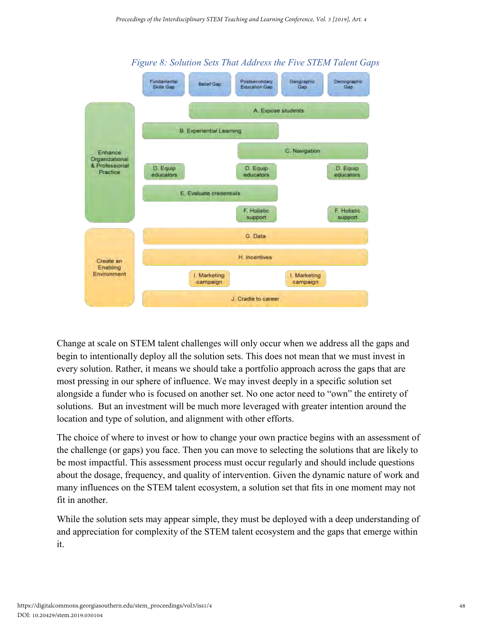

*Figure 8: Solution Sets That Address the Five STEM Talent Gaps*

Change at scale on STEM talent challenges will only occur when we address all the gaps and begin to intentionally deploy all the solution sets. This does not mean that we must invest in every solution. Rather, it means we should take a portfolio approach across the gaps that are most pressing in our sphere of influence. We may invest deeply in a specific solution set alongside a funder who is focused on another set. No one actor need to "own" the entirety of solutions. But an investment will be much more leveraged with greater intention around the location and type of solution, and alignment with other efforts.

The choice of where to invest or how to change your own practice begins with an assessment of the challenge (or gaps) you face. Then you can move to selecting the solutions that are likely to be most impactful. This assessment process must occur regularly and should include questions about the dosage, frequency, and quality of intervention. Given the dynamic nature of work and many influences on the STEM talent ecosystem, a solution set that fits in one moment may not fit in another.

While the solution sets may appear simple, they must be deployed with a deep understanding of and appreciation for complexity of the STEM talent ecosystem and the gaps that emerge within it.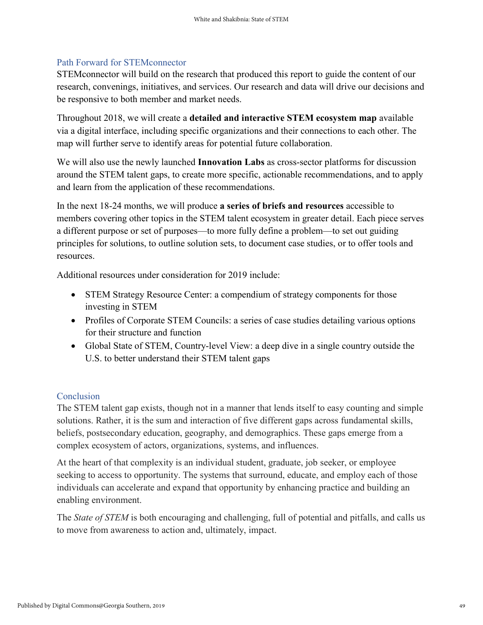#### Path Forward for STEMconnector

STEMconnector will build on the research that produced this report to guide the content of our research, convenings, initiatives, and services. Our research and data will drive our decisions and be responsive to both member and market needs.

Throughout 2018, we will create a **detailed and interactive STEM ecosystem map** available via a digital interface, including specific organizations and their connections to each other. The map will further serve to identify areas for potential future collaboration.

We will also use the newly launched **Innovation Labs** as cross-sector platforms for discussion around the STEM talent gaps, to create more specific, actionable recommendations, and to apply and learn from the application of these recommendations.

In the next 18-24 months, we will produce **a series of briefs and resources** accessible to members covering other topics in the STEM talent ecosystem in greater detail. Each piece serves a different purpose or set of purposes—to more fully define a problem—to set out guiding principles for solutions, to outline solution sets, to document case studies, or to offer tools and resources.

Additional resources under consideration for 2019 include:

- STEM Strategy Resource Center: a compendium of strategy components for those investing in STEM
- Profiles of Corporate STEM Councils: a series of case studies detailing various options for their structure and function
- Global State of STEM, Country-level View: a deep dive in a single country outside the U.S. to better understand their STEM talent gaps

#### Conclusion

The STEM talent gap exists, though not in a manner that lends itself to easy counting and simple solutions. Rather, it is the sum and interaction of five different gaps across fundamental skills, beliefs, postsecondary education, geography, and demographics. These gaps emerge from a complex ecosystem of actors, organizations, systems, and influences.

At the heart of that complexity is an individual student, graduate, job seeker, or employee seeking to access to opportunity. The systems that surround, educate, and employ each of those individuals can accelerate and expand that opportunity by enhancing practice and building an enabling environment.

The *State of STEM* is both encouraging and challenging, full of potential and pitfalls, and calls us to move from awareness to action and, ultimately, impact.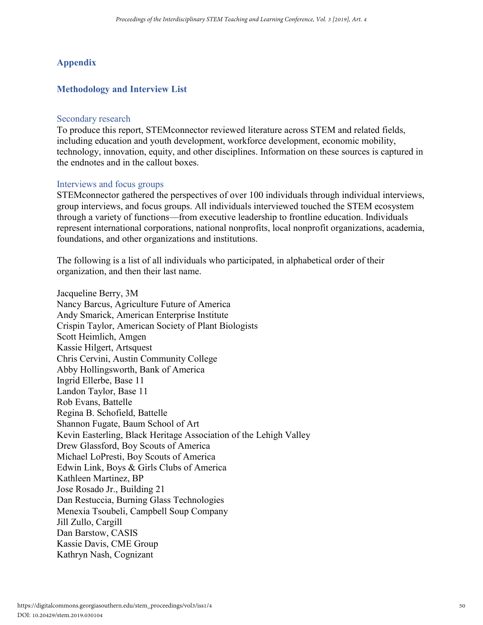#### **Appendix**

#### **Methodology and Interview List**

#### Secondary research

To produce this report, STEMconnector reviewed literature across STEM and related fields, including education and youth development, workforce development, economic mobility, technology, innovation, equity, and other disciplines. Information on these sources is captured in the endnotes and in the callout boxes.

#### Interviews and focus groups

STEMconnector gathered the perspectives of over 100 individuals through individual interviews, group interviews, and focus groups. All individuals interviewed touched the STEM ecosystem through a variety of functions—from executive leadership to frontline education. Individuals represent international corporations, national nonprofits, local nonprofit organizations, academia, foundations, and other organizations and institutions.

The following is a list of all individuals who participated, in alphabetical order of their organization, and then their last name.

Jacqueline Berry, 3M Nancy Barcus, Agriculture Future of America Andy Smarick, American Enterprise Institute Crispin Taylor, American Society of Plant Biologists Scott Heimlich, Amgen Kassie Hilgert, Artsquest Chris Cervini, Austin Community College Abby Hollingsworth, Bank of America Ingrid Ellerbe, Base 11 Landon Taylor, Base 11 Rob Evans, Battelle Regina B. Schofield, Battelle Shannon Fugate, Baum School of Art Kevin Easterling, Black Heritage Association of the Lehigh Valley Drew Glassford, Boy Scouts of America Michael LoPresti, Boy Scouts of America Edwin Link, Boys & Girls Clubs of America Kathleen Martinez, BP Jose Rosado Jr., Building 21 Dan Restuccia, Burning Glass Technologies Menexia Tsoubeli, Campbell Soup Company Jill Zullo, Cargill Dan Barstow, CASIS Kassie Davis, CME Group Kathryn Nash, Cognizant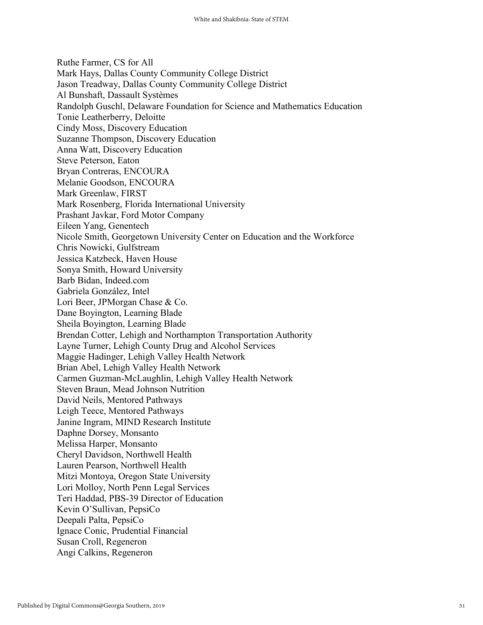Ruthe Farmer, CS for All Mark Hays, Dallas County Community College District Jason Treadway, Dallas County Community College District Al Bunshaft, Dassault Systèmes Randolph Guschl, Delaware Foundation for Science and Mathematics Education Tonie Leatherberry, Deloitte Cindy Moss, Discovery Education Suzanne Thompson, Discovery Education Anna Watt, Discovery Education Steve Peterson, Eaton Bryan Contreras, ENCOURA Melanie Goodson, ENCOURA Mark Greenlaw, FIRST Mark Rosenberg, Florida International University Prashant Javkar, Ford Motor Company Eileen Yang, Genentech Nicole Smith, Georgetown University Center on Education and the Workforce Chris Nowicki, Gulfstream Jessica Katzbeck, Haven House Sonya Smith, Howard University Barb Bidan, Indeed.com Gabriela González, Intel Lori Beer, JPMorgan Chase & Co. Dane Boyington, Learning Blade Sheila Boyington, Learning Blade Brendan Cotter, Lehigh and Northampton Transportation Authority Layne Turner, Lehigh County Drug and Alcohol Services Maggie Hadinger, Lehigh Valley Health Network Brian Abel, Lehigh Valley Health Network Carmen Guzman-McLaughlin, Lehigh Valley Health Network Steven Braun, Mead Johnson Nutrition David Neils, Mentored Pathways Leigh Teece, Mentored Pathways Janine Ingram, MIND Research Institute Daphne Dorsey, Monsanto Melissa Harper, Monsanto Cheryl Davidson, Northwell Health Lauren Pearson, Northwell Health Mitzi Montoya, Oregon State University Lori Molloy, North Penn Legal Services Teri Haddad, PBS-39 Director of Education Kevin O'Sullivan, PepsiCo Deepali Palta, PepsiCo Ignace Conic, Prudential Financial Susan Croll, Regeneron Angi Calkins, Regeneron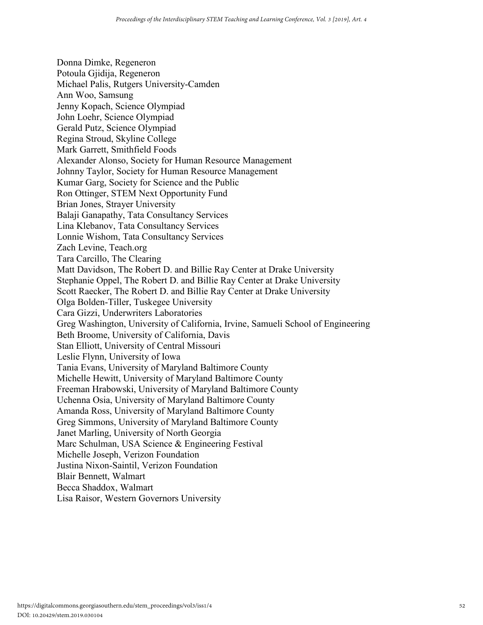Donna Dimke, Regeneron Potoula Gjidija, Regeneron Michael Palis, Rutgers University-Camden Ann Woo, Samsung Jenny Kopach, Science Olympiad John Loehr, Science Olympiad Gerald Putz, Science Olympiad Regina Stroud, Skyline College Mark Garrett, Smithfield Foods Alexander Alonso, Society for Human Resource Management Johnny Taylor, Society for Human Resource Management Kumar Garg, Society for Science and the Public Ron Ottinger, STEM Next Opportunity Fund Brian Jones, Strayer University Balaji Ganapathy, Tata Consultancy Services Lina Klebanov, Tata Consultancy Services Lonnie Wishom, Tata Consultancy Services Zach Levine, Teach.org Tara Carcillo, The Clearing Matt Davidson, The Robert D. and Billie Ray Center at Drake University Stephanie Oppel, The Robert D. and Billie Ray Center at Drake University Scott Raecker, The Robert D. and Billie Ray Center at Drake University Olga Bolden-Tiller, Tuskegee University Cara Gizzi, Underwriters Laboratories Greg Washington, University of California, Irvine, Samueli School of Engineering Beth Broome, University of California, Davis Stan Elliott, University of Central Missouri Leslie Flynn, University of Iowa Tania Evans, University of Maryland Baltimore County Michelle Hewitt, University of Maryland Baltimore County Freeman Hrabowski, University of Maryland Baltimore County Uchenna Osia, University of Maryland Baltimore County Amanda Ross, University of Maryland Baltimore County Greg Simmons, University of Maryland Baltimore County Janet Marling, University of North Georgia Marc Schulman, USA Science & Engineering Festival Michelle Joseph, Verizon Foundation Justina Nixon-Saintil, Verizon Foundation Blair Bennett, Walmart Becca Shaddox, Walmart Lisa Raisor, Western Governors University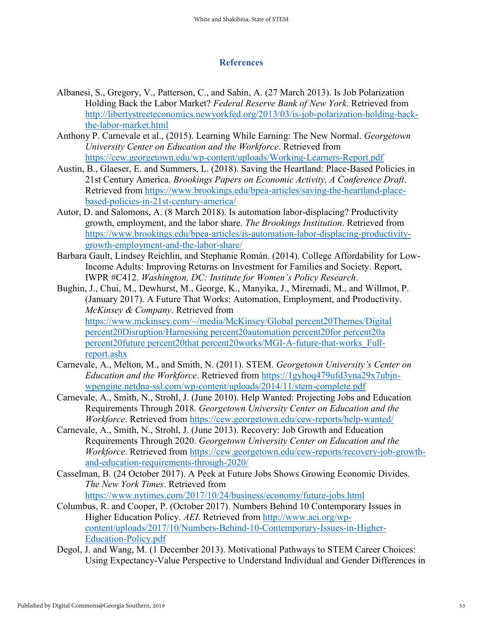#### **References**

- Albanesi, S., Gregory, V., Patterson, C., and Sahin, A. (27 March 2013). Is Job Polarization Holding Back the Labor Market? *Federal Reserve Bank of New York*. Retrieved from [http://libertystreeteconomics.newyorkfed.org/2013/03/is-job-polarization-holding-back](http://libertystreeteconomics.newyorkfed.org/2013/03/is-job-polarization-holding-back-the-labor-market.html)[the-labor-market.html](http://libertystreeteconomics.newyorkfed.org/2013/03/is-job-polarization-holding-back-the-labor-market.html)
- Anthony P. Carnevale et al., (2015). Learning While Earning: The New Normal. *Georgetown University Center on Education and the Workforce*. Retrieved from <https://cew.georgetown.edu/wp-content/uploads/Working-Learners-Report.pdf>
- Austin, B., Glaeser, E. and Summers, L. (2018). Saving the Heartland: Place-Based Policies in 21st Century America. *Brookings Papers on Economic Activity, A Conference Draft*. Retrieved from [https://www.brookings.edu/bpea-articles/saving-the-heartland-place](https://www.brookings.edu/bpea-articles/saving-the-heartland-place-based-policies-in-21st-century-america/)[based-policies-in-21st-century-america/](https://www.brookings.edu/bpea-articles/saving-the-heartland-place-based-policies-in-21st-century-america/)
- Autor, D. and Salomons, A. (8 March 2018). Is automation labor-displacing? Productivity growth, employment, and the labor share. *The Brookings Institution*. Retrieved from [https://www.brookings.edu/bpea-articles/is-automation-labor-displacing-productivity](https://www.brookings.edu/bpea-articles/is-automation-labor-displacing-productivity-growth-employment-and-the-labor-share/)[growth-employment-and-the-labor-share/](https://www.brookings.edu/bpea-articles/is-automation-labor-displacing-productivity-growth-employment-and-the-labor-share/)
- Barbara Gault, Lindsey Reichlin, and Stephanie Román. (2014). College Affordability for Low-Income Adults: Improving Returns on Investment for Families and Society. Report, IWPR #C412. *Washington, DC: Institute for Women's Policy Research*.
- Bughin, J., Chui, M., Dewhurst, M., George, K., Manyika, J., Miremadi, M., and Willmot, P. (January 2017). A Future That Works: Automation, Employment, and Productivity. *McKinsey & Company*. Retrieved from [https://www.mckinsey.com/~/media/McKinsey/Global percent20Themes/Digital](https://www.mckinsey.com/~/media/McKinsey/Global%20Themes/Digital%20Disruption/Harnessing%20automation%20for%20a%20future%20that%20works/MGI-A-future-that-works_Full-report.ashx)  [percent20Disruption/Harnessing percent20automation percent20for percent20a](https://www.mckinsey.com/~/media/McKinsey/Global%20Themes/Digital%20Disruption/Harnessing%20automation%20for%20a%20future%20that%20works/MGI-A-future-that-works_Full-report.ashx)  [percent20future percent20that percent20works/MGI-A-future-that-works\\_Full](https://www.mckinsey.com/~/media/McKinsey/Global%20Themes/Digital%20Disruption/Harnessing%20automation%20for%20a%20future%20that%20works/MGI-A-future-that-works_Full-report.ashx)[report.ashx](https://www.mckinsey.com/~/media/McKinsey/Global%20Themes/Digital%20Disruption/Harnessing%20automation%20for%20a%20future%20that%20works/MGI-A-future-that-works_Full-report.ashx)
- Carnevale, A., Melton, M., and Smith, N. (2011). STEM. *Georgetown University's Center on Education and the Workforce*. Retrieved from [https://1gyhoq479ufd3yna29x7ubjn](https://1gyhoq479ufd3yna29x7ubjn-wpengine.netdna-ssl.com/wp-content/uploads/2014/11/stem-complete.pdf)[wpengine.netdna-ssl.com/wp-content/uploads/2014/11/stem-complete.pdf](https://1gyhoq479ufd3yna29x7ubjn-wpengine.netdna-ssl.com/wp-content/uploads/2014/11/stem-complete.pdf)
- Carnevale, A., Smith, N., Strohl, J. (June 2010). Help Wanted: Projecting Jobs and Education Requirements Through 2018. *Georgetown University Center on Education and the Workforce*. Retrieved from<https://cew.georgetown.edu/cew-reports/help-wanted/>
- Carnevale, A., Smith, N., Strohl, J. (June 2013). Recovery: Job Growth and Education Requirements Through 2020. *Georgetown University Center on Education and the Workforce*. Retrieved from [https://cew.georgetown.edu/cew-reports/recovery-job-growth](https://cew.georgetown.edu/cew-reports/recovery-job-growth-and-education-requirements-through-2020/)[and-education-requirements-through-2020/](https://cew.georgetown.edu/cew-reports/recovery-job-growth-and-education-requirements-through-2020/)
- Casselman, B. (24 October 2017). A Peek at Future Jobs Shows Growing Economic Divides. *The New York Times*. Retrieved from
	- <https://www.nytimes.com/2017/10/24/business/economy/future-jobs.html>
- Columbus, R. and Cooper, P. (October 2017). Numbers Behind 10 Contemporary Issues in Higher Education Policy. *AEI*. Retrieved from [http://www.aei.org/wp](http://www.aei.org/wp-content/uploads/2017/10/Numbers-Behind-10-Contemporary-Issues-in-Higher-Education-Policy.pdf)[content/uploads/2017/10/Numbers-Behind-10-Contemporary-Issues-in-Higher-](http://www.aei.org/wp-content/uploads/2017/10/Numbers-Behind-10-Contemporary-Issues-in-Higher-Education-Policy.pdf)[Education-Policy.pdf](http://www.aei.org/wp-content/uploads/2017/10/Numbers-Behind-10-Contemporary-Issues-in-Higher-Education-Policy.pdf)
- Degol, J. and Wang, M. (1 December 2013). Motivational Pathways to STEM Career Choices: Using Expectancy-Value Perspective to Understand Individual and Gender Differences in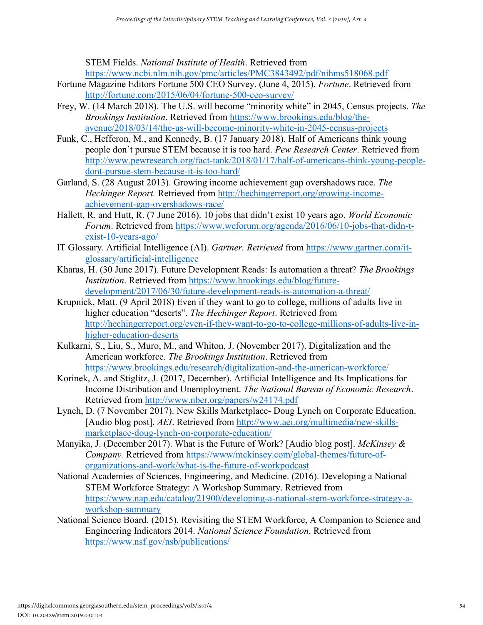STEM Fields. *National Institute of Health*. Retrieved from <https://www.ncbi.nlm.nih.gov/pmc/articles/PMC3843492/pdf/nihms518068.pdf>

- Fortune Magazine Editors Fortune 500 CEO Survey. (June 4, 2015). *Fortune*. Retrieved from <http://fortune.com/2015/06/04/fortune-500-ceo-survey/>
- Frey, W. (14 March 2018). The U.S. will become "minority white" in 2045, Census projects. *The Brookings Institution*. Retrieved from [https://www.brookings.edu/blog/the](https://www.brookings.edu/blog/the-avenue/2018/03/14/the-us-will-become-minority-white-in-2045-census-projects)[avenue/2018/03/14/the-us-will-become-minority-white-in-2045-census-projects](https://www.brookings.edu/blog/the-avenue/2018/03/14/the-us-will-become-minority-white-in-2045-census-projects)
- Funk, C., Hefferon, M., and Kennedy, B. (17 January 2018). Half of Americans think young people don't pursue STEM because it is too hard. *Pew Research Center*. Retrieved from [http://www.pewresearch.org/fact-tank/2018/01/17/half-of-americans-think-young-people](http://www.pewresearch.org/fact-tank/2018/01/17/half-of-americans-think-young-people-dont-pursue-stem-because-it-is-too-hard/)[dont-pursue-stem-because-it-is-too-hard/](http://www.pewresearch.org/fact-tank/2018/01/17/half-of-americans-think-young-people-dont-pursue-stem-because-it-is-too-hard/)
- Garland, S. (28 August 2013). Growing income achievement gap overshadows race. *The Hechinger Report.* Retrieved from [http://hechingerreport.org/growing-income](http://hechingerreport.org/growing-income-achievement-gap-overshadows-race/)[achievement-gap-overshadows-race/](http://hechingerreport.org/growing-income-achievement-gap-overshadows-race/)
- Hallett, R. and Hutt, R. (7 June 2016). 10 jobs that didn't exist 10 years ago. *World Economic Forum*. Retrieved from [https://www.weforum.org/agenda/2016/06/10-jobs-that-didn-t](https://www.weforum.org/agenda/2016/06/10-jobs-that-didn-t-exist-10-years-ago/)[exist-10-years-ago/](https://www.weforum.org/agenda/2016/06/10-jobs-that-didn-t-exist-10-years-ago/)
- IT Glossary. Artificial Intelligence (AI). *Gartner. Retrieved* from [https://www.gartner.com/it](https://www.gartner.com/it-glossary/artificial-intelligence)[glossary/artificial-intelligence](https://www.gartner.com/it-glossary/artificial-intelligence)
- Kharas, H. (30 June 2017). Future Development Reads: Is automation a threat? *The Brookings Institution*. Retrieved from [https://www.brookings.edu/blog/future](https://www.brookings.edu/blog/future-development/2017/06/30/future-development-reads-is-automation-a-threat/)[development/2017/06/30/future-development-reads-is-automation-a-threat/](https://www.brookings.edu/blog/future-development/2017/06/30/future-development-reads-is-automation-a-threat/)
- Krupnick, Matt. (9 April 2018) Even if they want to go to college, millions of adults live in higher education "deserts". *The Hechinger Report*. Retrieved from [http://hechingerreport.org/even-if-they-want-to-go-to-college-millions-of-adults-live-in](http://hechingerreport.org/even-if-they-want-to-go-to-college-millions-of-adults-live-in-higher-education-deserts)[higher-education-deserts](http://hechingerreport.org/even-if-they-want-to-go-to-college-millions-of-adults-live-in-higher-education-deserts)
- Kulkarni, S., Liu, S., Muro, M., and Whiton, J. (November 2017). Digitalization and the American workforce. *The Brookings Institution*. Retrieved from <https://www.brookings.edu/research/digitalization-and-the-american-workforce/>
- Korinek, A. and Stiglitz, J. (2017, December). Artificial Intelligence and Its Implications for Income Distribution and Unemployment. *The National Bureau of Economic Research*. Retrieved from<http://www.nber.org/papers/w24174.pdf>
- Lynch, D. (7 November 2017). New Skills Marketplace- Doug Lynch on Corporate Education. [Audio blog post]. *AEI*. Retrieved from [http://www.aei.org/multimedia/new-skills](http://www.aei.org/multimedia/new-skills-marketplace-doug-lynch-on-corporate-education/)[marketplace-doug-lynch-on-corporate-education/](http://www.aei.org/multimedia/new-skills-marketplace-doug-lynch-on-corporate-education/)
- Manyika, J. (December 2017). What is the Future of Work? [Audio blog post]. *McKinsey & Company.* Retrieved from [https://www/mckinsey.com/global-themes/future-of](https://www/mckinsey.com/global-themes/future-of-organizations-and-work/what-is-the-future-of-workpodcast)[organizations-and-work/what-is-the-future-of-workpodcast](https://www/mckinsey.com/global-themes/future-of-organizations-and-work/what-is-the-future-of-workpodcast)
- National Academies of Sciences, Engineering, and Medicine. (2016). Developing a National STEM Workforce Strategy: A Workshop Summary. Retrieved from [https://www.nap.edu/catalog/21900/developing-a-national-stem-workforce-strategy-a](https://www.nap.edu/catalog/21900/developing-a-national-stem-workforce-strategy-a-workshop-summary)[workshop-summary](https://www.nap.edu/catalog/21900/developing-a-national-stem-workforce-strategy-a-workshop-summary)
- National Science Board. (2015). Revisiting the STEM Workforce, A Companion to Science and Engineering Indicators 2014. *National Science Foundation*. Retrieved from <https://www.nsf.gov/nsb/publications/>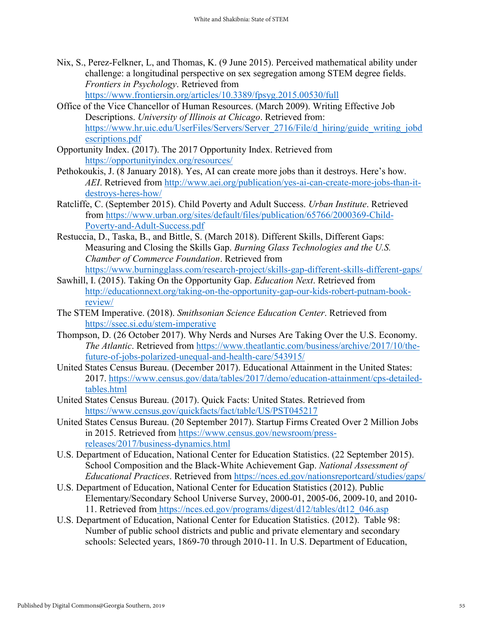- Nix, S., Perez-Felkner, L, and Thomas, K. (9 June 2015). Perceived mathematical ability under challenge: a longitudinal perspective on sex segregation among STEM degree fields. *Frontiers in Psychology*. Retrieved from <https://www.frontiersin.org/articles/10.3389/fpsyg.2015.00530/full>
- Office of the Vice Chancellor of Human Resources. (March 2009). Writing Effective Job Descriptions. *University of Illinois at Chicago*. Retrieved from: [https://www.hr.uic.edu/UserFiles/Servers/Server\\_2716/File/d\\_hiring/guide\\_writing\\_jobd](https://www.hr.uic.edu/UserFiles/Servers/Server_2716/File/d_hiring/guide_writing_jobdescriptions.pdf) [escriptions.pdf](https://www.hr.uic.edu/UserFiles/Servers/Server_2716/File/d_hiring/guide_writing_jobdescriptions.pdf)
- Opportunity Index. (2017). The 2017 Opportunity Index. Retrieved from <https://opportunityindex.org/resources/>
- Pethokoukis, J. (8 January 2018). Yes, AI can create more jobs than it destroys. Here's how. *AEI*. Retrieved from [http://www.aei.org/publication/yes-ai-can-create-more-jobs-than-it](http://www.aei.org/publication/yes-ai-can-create-more-jobs-than-it-destroys-heres-how/)[destroys-heres-how/](http://www.aei.org/publication/yes-ai-can-create-more-jobs-than-it-destroys-heres-how/)
- Ratcliffe, C. (September 2015). Child Poverty and Adult Success. *Urban Institute*. Retrieved from [https://www.urban.org/sites/default/files/publication/65766/2000369-Child-](https://www.urban.org/sites/default/files/publication/65766/2000369-Child-Poverty-and-Adult-Success.pdf)[Poverty-and-Adult-Success.pdf](https://www.urban.org/sites/default/files/publication/65766/2000369-Child-Poverty-and-Adult-Success.pdf)
- Restuccia, D., Taska, B., and Bittle, S. (March 2018). Different Skills, Different Gaps: Measuring and Closing the Skills Gap. *Burning Glass Technologies and the U.S. Chamber of Commerce Foundation*. Retrieved from <https://www.burningglass.com/research-project/skills-gap-different-skills-different-gaps/>
- Sawhill, I. (2015). Taking On the Opportunity Gap. *Education Next*. Retrieved from [http://educationnext.org/taking-on-the-opportunity-gap-our-kids-robert-putnam-book](http://educationnext.org/taking-on-the-opportunity-gap-our-kids-robert-putnam-book-review/)[review/](http://educationnext.org/taking-on-the-opportunity-gap-our-kids-robert-putnam-book-review/)
- The STEM Imperative. (2018). *Smithsonian Science Education Center*. Retrieved from <https://ssec.si.edu/stem-imperative>
- Thompson, D. (26 October 2017). Why Nerds and Nurses Are Taking Over the U.S. Economy. *The Atlantic*. Retrieved from [https://www.theatlantic.com/business/archive/2017/10/the](https://www.theatlantic.com/business/archive/2017/10/the-future-of-jobs-polarized-unequal-and-health-care/543915/)[future-of-jobs-polarized-unequal-and-health-care/543915/](https://www.theatlantic.com/business/archive/2017/10/the-future-of-jobs-polarized-unequal-and-health-care/543915/)
- United States Census Bureau. (December 2017). Educational Attainment in the United States: 2017. [https://www.census.gov/data/tables/2017/demo/education-attainment/cps-detailed](https://www.census.gov/data/tables/2017/demo/education-attainment/cps-detailed-tables.html)[tables.html](https://www.census.gov/data/tables/2017/demo/education-attainment/cps-detailed-tables.html)
- United States Census Bureau. (2017). Quick Facts: United States. Retrieved from <https://www.census.gov/quickfacts/fact/table/US/PST045217>
- United States Census Bureau. (20 September 2017). Startup Firms Created Over 2 Million Jobs in 2015. Retrieved from [https://www.census.gov/newsroom/press](https://www.census.gov/newsroom/press-releases/2017/business-dynamics.html)[releases/2017/business-dynamics.html](https://www.census.gov/newsroom/press-releases/2017/business-dynamics.html)
- U.S. Department of Education, National Center for Education Statistics. (22 September 2015). School Composition and the Black-White Achievement Gap. *National Assessment of Educational Practices*. Retrieved from<https://nces.ed.gov/nationsreportcard/studies/gaps/>
- U.S. Department of Education, National Center for Education Statistics (2012). Public Elementary/Secondary School Universe Survey, 2000-01, 2005-06, 2009-10, and 2010- 11. Retrieved from [https://nces.ed.gov/programs/digest/d12/tables/dt12\\_046.asp](https://nces.ed.gov/programs/digest/d12/tables/dt12_046.asp)
- U.S. Department of Education, National Center for Education Statistics. (2012). Table 98: Number of public school districts and public and private elementary and secondary schools: Selected years, 1869-70 through 2010-11. In U.S. Department of Education,